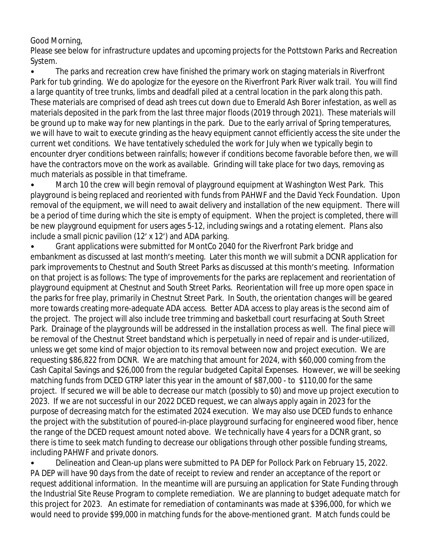Good Morning,

Please see below for infrastructure updates and upcoming projects for the Pottstown Parks and Recreation System.

• The parks and recreation crew have finished the primary work on staging materials in Riverfront Park for tub grinding. We do apologize for the eyesore on the Riverfront Park River walk trail. You will find a large quantity of tree trunks, limbs and deadfall piled at a central location in the park along this path. These materials are comprised of dead ash trees cut down due to Emerald Ash Borer infestation, as well as materials deposited in the park from the last three major floods (2019 through 2021). These materials will be ground up to make way for new plantings in the park. Due to the early arrival of Spring temperatures, we will have to wait to execute grinding as the heavy equipment cannot efficiently access the site under the current wet conditions. We have tentatively scheduled the work for July when we typically begin to encounter dryer conditions between rainfalls; however if conditions become favorable before then, we will have the contractors move on the work as available. Grinding will take place for two days, removing as much materials as possible in that timeframe.

• March 10 the crew will begin removal of playground equipment at Washington West Park. This playground is being replaced and reoriented with funds from PAHWF and the David Yeck Foundation. Upon removal of the equipment, we will need to await delivery and installation of the new equipment. There will be a period of time during which the site is empty of equipment. When the project is completed, there will be new playground equipment for users ages 5-12, including swings and a rotating element. Plans also include a small picnic pavilion (12' x 12') and ADA parking.

• Grant applications were submitted for MontCo 2040 for the Riverfront Park bridge and embankment as discussed at last month's meeting. Later this month we will submit a DCNR application for park improvements to Chestnut and South Street Parks as discussed at this month's meeting. Information on that project is as follows: The type of improvements for the parks are replacement and reorientation of playground equipment at Chestnut and South Street Parks. Reorientation will free up more open space in the parks for free play, primarily in Chestnut Street Park. In South, the orientation changes will be geared more towards creating more-adequate ADA access. Better ADA access to play areas is the second aim of the project. The project will also include tree trimming and basketball court resurfacing at South Street Park. Drainage of the playgrounds will be addressed in the installation process as well. The final piece will be removal of the Chestnut Street bandstand which is perpetually in need of repair and is under-utilized, unless we get some kind of major objection to its removal between now and project execution. We are requesting \$86,822 from DCNR. We are matching that amount for 2024, with \$60,000 coming from the Cash Capital Savings and \$26,000 from the regular budgeted Capital Expenses. However, we will be seeking matching funds from DCED GTRP later this year in the amount of \$87,000 - to \$110,00 for the same project. If secured we will be able to decrease our match (possibly to \$0) and move up project execution to 2023. If we are not successful in our 2022 DCED request, we can always apply again in 2023 for the purpose of decreasing match for the estimated 2024 execution. We may also use DCED funds to enhance the project with the substitution of poured-in-place playground surfacing for engineered wood fiber, hence the range of the DCED request amount noted above. We technically have 4 years for a DCNR grant, so there is time to seek match funding to decrease our obligations through other possible funding streams, including PAHWF and private donors.

• Delineation and Clean-up plans were submitted to PA DEP for Pollock Park on February 15, 2022. PA DEP will have 90 days from the date of receipt to review and render an acceptance of the report or request additional information. In the meantime will are pursuing an application for State Funding through the Industrial Site Reuse Program to complete remediation. We are planning to budget adequate match for this project for 2023. An estimate for remediation of contaminants was made at \$396,000, for which we would need to provide \$99,000 in matching funds for the above-mentioned grant. Match funds could be